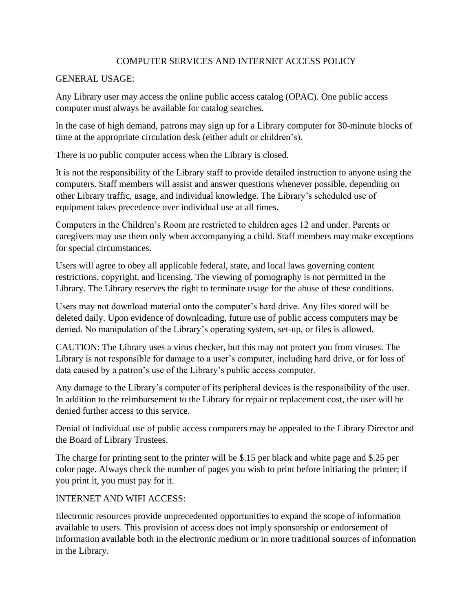## COMPUTER SERVICES AND INTERNET ACCESS POLICY

## GENERAL USAGE:

Any Library user may access the online public access catalog (OPAC). One public access computer must always be available for catalog searches.

In the case of high demand, patrons may sign up for a Library computer for 30-minute blocks of time at the appropriate circulation desk (either adult or children's).

There is no public computer access when the Library is closed.

It is not the responsibility of the Library staff to provide detailed instruction to anyone using the computers. Staff members will assist and answer questions whenever possible, depending on other Library traffic, usage, and individual knowledge. The Library's scheduled use of equipment takes precedence over individual use at all times.

Computers in the Children's Room are restricted to children ages 12 and under. Parents or caregivers may use them only when accompanying a child. Staff members may make exceptions for special circumstances.

Users will agree to obey all applicable federal, state, and local laws governing content restrictions, copyright, and licensing. The viewing of pornography is not permitted in the Library. The Library reserves the right to terminate usage for the abuse of these conditions.

Users may not download material onto the computer's hard drive. Any files stored will be deleted daily. Upon evidence of downloading, future use of public access computers may be denied. No manipulation of the Library's operating system, set-up, or files is allowed.

CAUTION: The Library uses a virus checker, but this may not protect you from viruses. The Library is not responsible for damage to a user's computer, including hard drive, or for loss of data caused by a patron's use of the Library's public access computer.

Any damage to the Library's computer of its peripheral devices is the responsibility of the user. In addition to the reimbursement to the Library for repair or replacement cost, the user will be denied further access to this service.

Denial of individual use of public access computers may be appealed to the Library Director and the Board of Library Trustees.

The charge for printing sent to the printer will be \$.15 per black and white page and \$.25 per color page. Always check the number of pages you wish to print before initiating the printer; if you print it, you must pay for it.

## INTERNET AND WIFI ACCESS:

Electronic resources provide unprecedented opportunities to expand the scope of information available to users. This provision of access does not imply sponsorship or endorsement of information available both in the electronic medium or in more traditional sources of information in the Library.